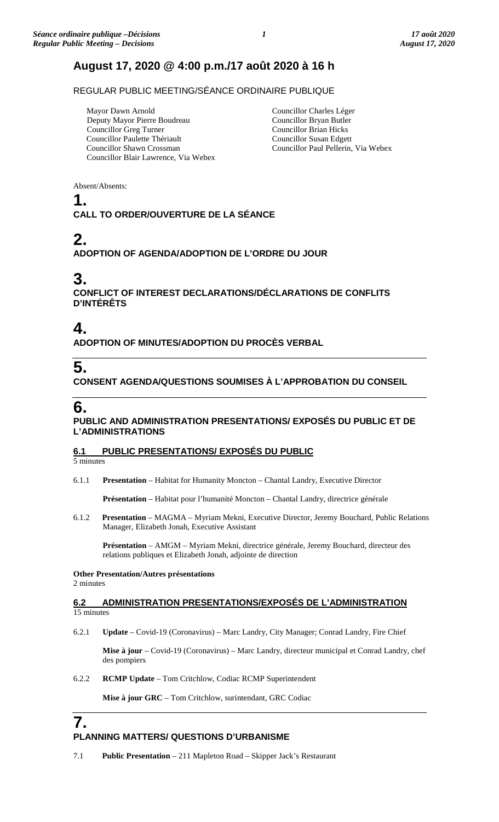# **August 17, 2020 @ 4:00 p.m./17 août 2020 à 16 h**

REGULAR PUBLIC MEETING/SÉANCE ORDINAIRE PUBLIQUE

Mayor Dawn Arnold Deputy Mayor Pierre Boudreau Councillor Greg Turner Councillor Paulette Thériault Councillor Shawn Crossman Councillor Blair Lawrence, Via Webex

Councillor Charles Léger Councillor Bryan Butler Councillor Brian Hicks Councillor Susan Edgett Councillor Paul Pellerin, Via Webex

Absent/Absents:

### **1.**

**CALL TO ORDER/OUVERTURE DE LA SÉANCE**

# **2.**

**ADOPTION OF AGENDA/ADOPTION DE L'ORDRE DU JOUR**

## **3.**

**CONFLICT OF INTEREST DECLARATIONS/DÉCLARATIONS DE CONFLITS D'INTÉRÊTS**

## **4.**

**ADOPTION OF MINUTES/ADOPTION DU PROCÈS VERBAL**

# **5.**

**CONSENT AGENDA/QUESTIONS SOUMISES À L'APPROBATION DU CONSEIL**

## **6.**

**PUBLIC AND ADMINISTRATION PRESENTATIONS/ EXPOSÉS DU PUBLIC ET DE L'ADMINISTRATIONS**

### **6.1 PUBLIC PRESENTATIONS/ EXPOSÉS DU PUBLIC**

5 minutes

6.1.1 **Presentation** – Habitat for Humanity Moncton – Chantal Landry, Executive Director

**Présentation** – Habitat pour l'humanité Moncton – Chantal Landry, directrice générale

6.1.2 **Presentation** – MAGMA – Myriam Mekni, Executive Director, Jeremy Bouchard, Public Relations Manager, Elizabeth Jonah, Executive Assistant

**Présentation** – AMGM – Myriam Mekni, directrice générale, Jeremy Bouchard, directeur des relations publiques et Elizabeth Jonah, adjointe de direction

## **Other Presentation/Autres présentations**

2 minutes

### **6.2 ADMINISTRATION PRESENTATIONS/EXPOSÉS DE L'ADMINISTRATION**  15 minutes

6.2.1 **Update** – Covid-19 (Coronavirus) – Marc Landry, City Manager; Conrad Landry, Fire Chief

**Mise à jour** – Covid-19 (Coronavirus) – Marc Landry, directeur municipal et Conrad Landry, chef des pompiers

6.2.2 **RCMP Update** – Tom Critchlow, Codiac RCMP Superintendent

**Mise à jour GRC** – Tom Critchlow, surintendant, GRC Codiac

### **7. PLANNING MATTERS/ QUESTIONS D'URBANISME**

7.1 **Public Presentation** – 211 Mapleton Road – Skipper Jack's Restaurant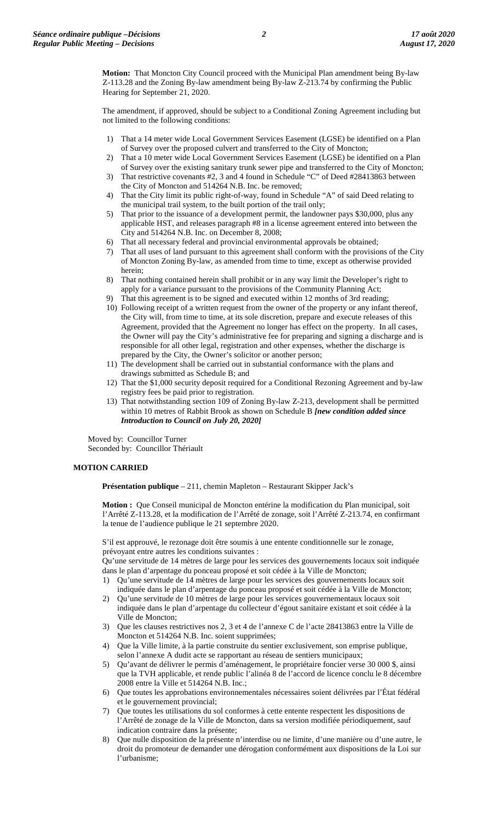**Motion:** That Moncton City Council proceed with the Municipal Plan amendment being By-law Z-113.28 and the Zoning By-law amendment being By-law Z-213.74 by confirming the Public Hearing for September 21, 2020.

The amendment, if approved, should be subject to a Conditional Zoning Agreement including but not limited to the following conditions:

- 1) That a 14 meter wide Local Government Services Easement (LGSE) be identified on a Plan of Survey over the proposed culvert and transferred to the City of Moncton;
- 2) That a 10 meter wide Local Government Services Easement (LGSE) be identified on a Plan of Survey over the existing sanitary trunk sewer pipe and transferred to the City of Moncton;
- 3) That restrictive covenants #2, 3 and 4 found in Schedule "C" of Deed #28413863 between the City of Moncton and 514264 N.B. Inc. be removed;
- 4) That the City limit its public right-of-way, found in Schedule "A" of said Deed relating to the municipal trail system, to the built portion of the trail only;
- 5) That prior to the issuance of a development permit, the landowner pays \$30,000, plus any applicable HST, and releases paragraph #8 in a license agreement entered into between the City and 514264 N.B. Inc. on December 8, 2008;
- 6) That all necessary federal and provincial environmental approvals be obtained;
- 7) That all uses of land pursuant to this agreement shall conform with the provisions of the City of Moncton Zoning By-law, as amended from time to time, except as otherwise provided herein;
- 8) That nothing contained herein shall prohibit or in any way limit the Developer's right to apply for a variance pursuant to the provisions of the Community Planning Act;
- 9) That this agreement is to be signed and executed within 12 months of 3rd reading;
- 10) Following receipt of a written request from the owner of the property or any infant thereof, the City will, from time to time, at its sole discretion, prepare and execute releases of this Agreement, provided that the Agreement no longer has effect on the property. In all cases, the Owner will pay the City's administrative fee for preparing and signing a discharge and is responsible for all other legal, registration and other expenses, whether the discharge is prepared by the City, the Owner's solicitor or another person;
- 11) The development shall be carried out in substantial conformance with the plans and drawings submitted as Schedule B; and
- 12) That the \$1,000 security deposit required for a Conditional Rezoning Agreement and by-law registry fees be paid prior to registration.
- 13) That notwithstanding section 109 of Zoning By-law Z-213, development shall be permitted within 10 metres of Rabbit Brook as shown on Schedule B *[new condition added since Introduction to Council on July 20, 2020]*

Moved by: Councillor Turner Seconded by: Councillor Thériault

### **MOTION CARRIED**

**Présentation publique** – 211, chemin Mapleton – Restaurant Skipper Jack's

**Motion :** Que Conseil municipal de Moncton entérine la modification du Plan municipal, soit l'Arrêté Z-113.28, et la modification de l'Arrêté de zonage, soit l'Arrêté Z-213.74, en confirmant la tenue de l'audience publique le 21 septembre 2020.

S'il est approuvé, le rezonage doit être soumis à une entente conditionnelle sur le zonage, prévoyant entre autres les conditions suivantes :

Qu'une servitude de 14 mètres de large pour les services des gouvernements locaux soit indiquée dans le plan d'arpentage du ponceau proposé et soit cédée à la Ville de Moncton;

- 1) Qu'une servitude de 14 mètres de large pour les services des gouvernements locaux soit indiquée dans le plan d'arpentage du ponceau proposé et soit cédée à la Ville de Moncton;
- 2) Qu'une servitude de 10 mètres de large pour les services gouvernementaux locaux soit indiquée dans le plan d'arpentage du collecteur d'égout sanitaire existant et soit cédée à la Ville de Moncton;
- 3) Que les clauses restrictives nos 2, 3 et 4 de l'annexe C de l'acte 28413863 entre la Ville de Moncton et 514264 N.B. Inc. soient supprimées;
- 4) Que la Ville limite, à la partie construite du sentier exclusivement, son emprise publique, selon l'annexe A dudit acte se rapportant au réseau de sentiers municipaux;
- 5) Qu'avant de délivrer le permis d'aménagement, le propriétaire foncier verse 30 000 \$, ainsi que la TVH applicable, et rende public l'alinéa 8 de l'accord de licence conclu le 8 décembre 2008 entre la Ville et 514264 N.B. Inc.;
- 6) Que toutes les approbations environnementales nécessaires soient délivrées par l'État fédéral et le gouvernement provincial;
- 7) Que toutes les utilisations du sol conformes à cette entente respectent les dispositions de l'Arrêté de zonage de la Ville de Moncton, dans sa version modifiée périodiquement, sauf indication contraire dans la présente;
- 8) Que nulle disposition de la présente n'interdise ou ne limite, d'une manière ou d'une autre, le droit du promoteur de demander une dérogation conformément aux dispositions de la Loi sur l'urbanisme;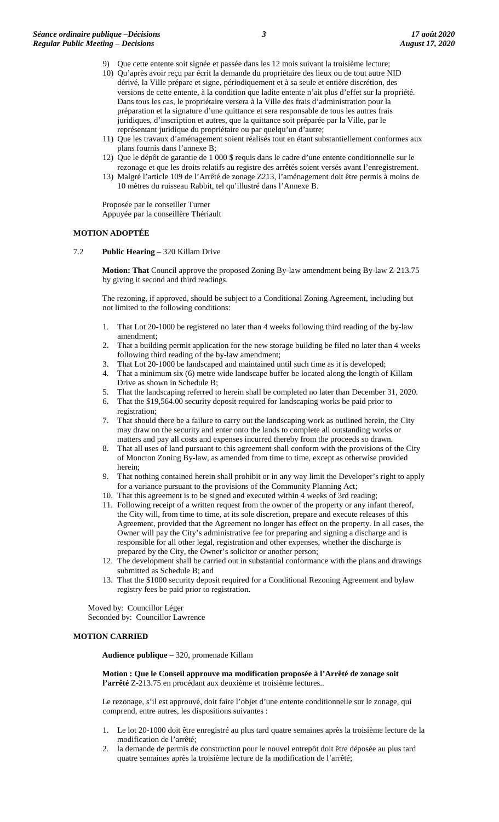- 9) Que cette entente soit signée et passée dans les 12 mois suivant la troisième lecture; 10) Qu'après avoir reçu par écrit la demande du propriétaire des lieux ou de tout autre NID dérivé, la Ville prépare et signe, périodiquement et à sa seule et entière discrétion, des versions de cette entente, à la condition que ladite entente n'ait plus d'effet sur la propriété. Dans tous les cas, le propriétaire versera à la Ville des frais d'administration pour la
	- préparation et la signature d'une quittance et sera responsable de tous les autres frais juridiques, d'inscription et autres, que la quittance soit préparée par la Ville, par le représentant juridique du propriétaire ou par quelqu'un d'autre;
- 11) Que les travaux d'aménagement soient réalisés tout en étant substantiellement conformes aux plans fournis dans l'annexe B;
- 12) Que le dépôt de garantie de 1 000 \$ requis dans le cadre d'une entente conditionnelle sur le rezonage et que les droits relatifs au registre des arrêtés soient versés avant l'enregistrement.
- 13) Malgré l'article 109 de l'Arrêté de zonage Z213, l'aménagement doit être permis à moins de 10 mètres du ruisseau Rabbit, tel qu'illustré dans l'Annexe B.

Proposée par le conseiller Turner Appuyée par la conseillère Thériault

### **MOTION ADOPTÉE**

7.2 **Public Hearing** – 320 Killam Drive

**Motion: That** Council approve the proposed Zoning By-law amendment being By-law Z-213.75 by giving it second and third readings.

The rezoning, if approved, should be subject to a Conditional Zoning Agreement, including but not limited to the following conditions:

- 1. That Lot 20-1000 be registered no later than 4 weeks following third reading of the by-law amendment;
- That a building permit application for the new storage building be filed no later than 4 weeks following third reading of the by-law amendment;
- 3. That Lot 20-1000 be landscaped and maintained until such time as it is developed;
- 4. That a minimum six (6) metre wide landscape buffer be located along the length of Killam Drive as shown in Schedule B;
- 5. That the landscaping referred to herein shall be completed no later than December 31, 2020.
- 6. That the \$19,564.00 security deposit required for landscaping works be paid prior to registration;
- 7. That should there be a failure to carry out the landscaping work as outlined herein, the City may draw on the security and enter onto the lands to complete all outstanding works or matters and pay all costs and expenses incurred thereby from the proceeds so drawn.
- 8. That all uses of land pursuant to this agreement shall conform with the provisions of the City of Moncton Zoning By-law, as amended from time to time, except as otherwise provided herein;
- 9. That nothing contained herein shall prohibit or in any way limit the Developer's right to apply for a variance pursuant to the provisions of the Community Planning Act;
- 10. That this agreement is to be signed and executed within 4 weeks of 3rd reading;
- 11. Following receipt of a written request from the owner of the property or any infant thereof, the City will, from time to time, at its sole discretion, prepare and execute releases of this Agreement, provided that the Agreement no longer has effect on the property. In all cases, the Owner will pay the City's administrative fee for preparing and signing a discharge and is responsible for all other legal, registration and other expenses, whether the discharge is prepared by the City, the Owner's solicitor or another person;
- 12. The development shall be carried out in substantial conformance with the plans and drawings submitted as Schedule B; and
- 13. That the \$1000 security deposit required for a Conditional Rezoning Agreement and bylaw registry fees be paid prior to registration.

Moved by: Councillor Léger Seconded by: Councillor Lawrence

### **MOTION CARRIED**

**Audience publique** – 320, promenade Killam

**Motion : Que le Conseil approuve ma modification proposée à l'Arrêté de zonage soit l'arrêté** Z-213.75 en procédant aux deuxième et troisième lectures..

Le rezonage, s'il est approuvé, doit faire l'objet d'une entente conditionnelle sur le zonage, qui comprend, entre autres, les dispositions suivantes :

- 1. Le lot 20-1000 doit être enregistré au plus tard quatre semaines après la troisième lecture de la modification de l'arrêté;
- 2. la demande de permis de construction pour le nouvel entrepôt doit être déposée au plus tard quatre semaines après la troisième lecture de la modification de l'arrêté;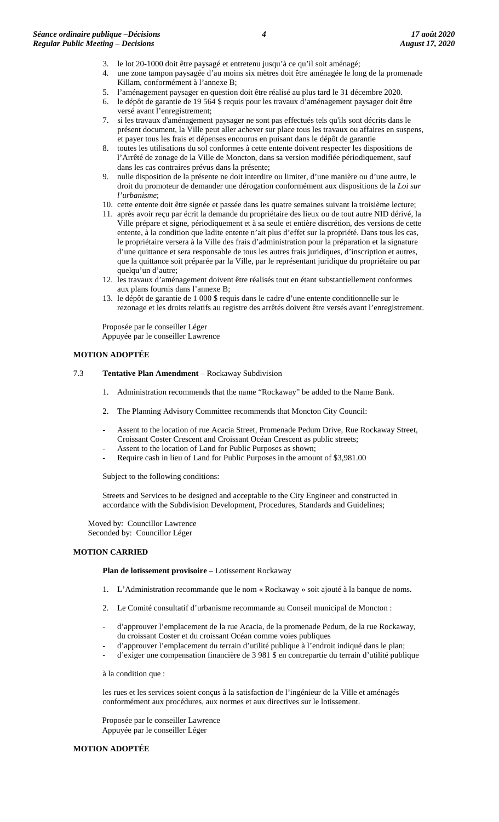- 3. le lot 20-1000 doit être paysagé et entretenu jusqu'à ce qu'il soit aménagé;
- 4. une zone tampon paysagée d'au moins six mètres doit être aménagée le long de la promenade Killam, conformément à l'annexe B;
- 5. l'aménagement paysager en question doit être réalisé au plus tard le 31 décembre 2020.
- 6. le dépôt de garantie de 19 564 \$ requis pour les travaux d'aménagement paysager doit être versé avant l'enregistrement;
- 7. si les travaux d'aménagement paysager ne sont pas effectués tels qu'ils sont décrits dans le présent document, la Ville peut aller achever sur place tous les travaux ou affaires en suspens, et payer tous les frais et dépenses encourus en puisant dans le dépôt de garantie
- 8. toutes les utilisations du sol conformes à cette entente doivent respecter les dispositions de l'Arrêté de zonage de la Ville de Moncton, dans sa version modifiée périodiquement, sauf dans les cas contraires prévus dans la présente;
- 9. nulle disposition de la présente ne doit interdire ou limiter, d'une manière ou d'une autre, le droit du promoteur de demander une dérogation conformément aux dispositions de la *Loi sur l'urbanisme*;
- 10. cette entente doit être signée et passée dans les quatre semaines suivant la troisième lecture;
- 11. après avoir reçu par écrit la demande du propriétaire des lieux ou de tout autre NID dérivé, la Ville prépare et signe, périodiquement et à sa seule et entière discrétion, des versions de cette entente, à la condition que ladite entente n'ait plus d'effet sur la propriété. Dans tous les cas, le propriétaire versera à la Ville des frais d'administration pour la préparation et la signature d'une quittance et sera responsable de tous les autres frais juridiques, d'inscription et autres, que la quittance soit préparée par la Ville, par le représentant juridique du propriétaire ou par quelqu'un d'autre;
- 12. les travaux d'aménagement doivent être réalisés tout en étant substantiellement conformes aux plans fournis dans l'annexe B;
- 13. le dépôt de garantie de 1 000 \$ requis dans le cadre d'une entente conditionnelle sur le rezonage et les droits relatifs au registre des arrêtés doivent être versés avant l'enregistrement.

Proposée par le conseiller Léger Appuyée par le conseiller Lawrence

### **MOTION ADOPTÉE**

- 7.3 **Tentative Plan Amendment** Rockaway Subdivision
	- 1. Administration recommends that the name "Rockaway" be added to the Name Bank.
	- 2. The Planning Advisory Committee recommends that Moncton City Council:
	- Assent to the location of rue Acacia Street, Promenade Pedum Drive, Rue Rockaway Street, Croissant Coster Crescent and Croissant Océan Crescent as public streets;
	- Assent to the location of Land for Public Purposes as shown;
	- Require cash in lieu of Land for Public Purposes in the amount of \$3,981.00

Subject to the following conditions:

Streets and Services to be designed and acceptable to the City Engineer and constructed in accordance with the Subdivision Development, Procedures, Standards and Guidelines;

Moved by: Councillor Lawrence Seconded by: Councillor Léger

### **MOTION CARRIED**

Plan de lotissement provisoire - Lotissement Rockaway

- 1. L'Administration recommande que le nom « Rockaway » soit ajouté à la banque de noms.
- 2. Le Comité consultatif d'urbanisme recommande au Conseil municipal de Moncton :
- d'approuver l'emplacement de la rue Acacia, de la promenade Pedum, de la rue Rockaway, du croissant Coster et du croissant Océan comme voies publiques
- d'approuver l'emplacement du terrain d'utilité publique à l'endroit indiqué dans le plan;
- d'exiger une compensation financière de 3 981 \$ en contrepartie du terrain d'utilité publique

à la condition que :

les rues et les services soient conçus à la satisfaction de l'ingénieur de la Ville et aménagés conformément aux procédures, aux normes et aux directives sur le lotissement.

Proposée par le conseiller Lawrence Appuyée par le conseiller Léger

### **MOTION ADOPTÉE**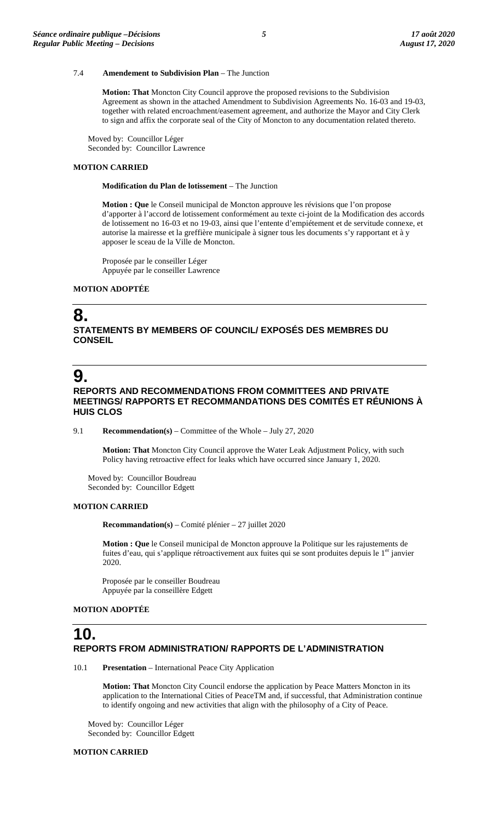### 7.4 **Amendement to Subdivision Plan** – The Junction

**Motion: That** Moncton City Council approve the proposed revisions to the Subdivision Agreement as shown in the attached Amendment to Subdivision Agreements No. 16-03 and 19-03, together with related encroachment/easement agreement, and authorize the Mayor and City Clerk to sign and affix the corporate seal of the City of Moncton to any documentation related thereto.

Moved by: Councillor Léger Seconded by: Councillor Lawrence

### **MOTION CARRIED**

**Modification du Plan de lotissement** – The Junction

**Motion : Que** le Conseil municipal de Moncton approuve les révisions que l'on propose d'apporter à l'accord de lotissement conformément au texte ci-joint de la Modification des accords de lotissement no 16-03 et no 19-03, ainsi que l'entente d'empiétement et de servitude connexe, et autorise la mairesse et la greffière municipale à signer tous les documents s'y rapportant et à y apposer le sceau de la Ville de Moncton.

Proposée par le conseiller Léger Appuyée par le conseiller Lawrence

### **MOTION ADOPTÉE**

## **8.**

**STATEMENTS BY MEMBERS OF COUNCIL/ EXPOSÉS DES MEMBRES DU CONSEIL**

## **9.**

### **REPORTS AND RECOMMENDATIONS FROM COMMITTEES AND PRIVATE MEETINGS/ RAPPORTS ET RECOMMANDATIONS DES COMITÉS ET RÉUNIONS À HUIS CLOS**

9.1 **Recommendation(s)** – Committee of the Whole – July 27, 2020

**Motion: That** Moncton City Council approve the Water Leak Adjustment Policy, with such Policy having retroactive effect for leaks which have occurred since January 1, 2020.

Moved by: Councillor Boudreau Seconded by: Councillor Edgett

#### **MOTION CARRIED**

**Recommandation(s)** – Comité plénier – 27 juillet 2020

**Motion : Que** le Conseil municipal de Moncton approuve la Politique sur les rajustements de fuites d'eau, qui s'applique rétroactivement aux fuites qui se sont produites depuis le 1<sup>er</sup> janvier 2020.

Proposée par le conseiller Boudreau Appuyée par la conseillère Edgett

### **MOTION ADOPTÉE**

## **10. REPORTS FROM ADMINISTRATION/ RAPPORTS DE L'ADMINISTRATION**

10.1 **Presentation** – International Peace City Application

**Motion: That** Moncton City Council endorse the application by Peace Matters Moncton in its application to the International Cities of PeaceTM and, if successful, that Administration continue to identify ongoing and new activities that align with the philosophy of a City of Peace.

Moved by: Councillor Léger Seconded by: Councillor Edgett

**MOTION CARRIED**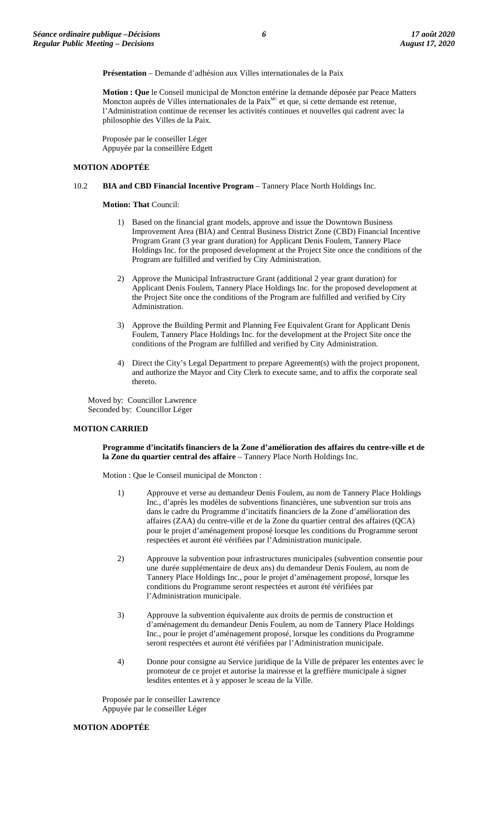**Présentation** – Demande d'adhésion aux Villes internationales de la Paix

**Motion : Que** le Conseil municipal de Moncton entérine la demande déposée par Peace Matters Moncton auprès de Villes internationales de la Paix<sup>MC</sup> et que, si cette demande est retenue, l'Administration continue de recenser les activités continues et nouvelles qui cadrent avec la philosophie des Villes de la Paix.

Proposée par le conseiller Léger Appuyée par la conseillère Edgett

### **MOTION ADOPTÉE**

### 10.2 **BIA and CBD Financial Incentive Program** – Tannery Place North Holdings Inc.

**Motion: That** Council:

- 1) Based on the financial grant models, approve and issue the Downtown Business Improvement Area (BIA) and Central Business District Zone (CBD) Financial Incentive Program Grant (3 year grant duration) for Applicant Denis Foulem, Tannery Place Holdings Inc. for the proposed development at the Project Site once the conditions of the Program are fulfilled and verified by City Administration.
- 2) Approve the Municipal Infrastructure Grant (additional 2 year grant duration) for Applicant Denis Foulem, Tannery Place Holdings Inc. for the proposed development at the Project Site once the conditions of the Program are fulfilled and verified by City Administration.
- 3) Approve the Building Permit and Planning Fee Equivalent Grant for Applicant Denis Foulem, Tannery Place Holdings Inc. for the development at the Project Site once the conditions of the Program are fulfilled and verified by City Administration.
- 4) Direct the City's Legal Department to prepare Agreement(s) with the project proponent, and authorize the Mayor and City Clerk to execute same, and to affix the corporate seal thereto.

Moved by: Councillor Lawrence Seconded by: Councillor Léger

### **MOTION CARRIED**

**Programme d'incitatifs financiers de la Zone d'amélioration des affaires du centre-ville et de la Zone du quartier central des affaire** – Tannery Place North Holdings Inc.

Motion : Que le Conseil municipal de Moncton :

- 1) Approuve et verse au demandeur Denis Foulem, au nom de Tannery Place Holdings Inc., d'après les modèles de subventions financières, une subvention sur trois ans dans le cadre du Programme d'incitatifs financiers de la Zone d'amélioration des affaires (ZAA) du centre-ville et de la Zone du quartier central des affaires (QCA) pour le projet d'aménagement proposé lorsque les conditions du Programme seront respectées et auront été vérifiées par l'Administration municipale.
- 2) Approuve la subvention pour infrastructures municipales (subvention consentie pour une durée supplémentaire de deux ans) du demandeur Denis Foulem, au nom de Tannery Place Holdings Inc., pour le projet d'aménagement proposé, lorsque les conditions du Programme seront respectées et auront été vérifiées par l'Administration municipale.
- 3) Approuve la subvention équivalente aux droits de permis de construction et d'aménagement du demandeur Denis Foulem, au nom de Tannery Place Holdings Inc., pour le projet d'aménagement proposé, lorsque les conditions du Programme seront respectées et auront été vérifiées par l'Administration municipale.
- 4) Donne pour consigne au Service juridique de la Ville de préparer les ententes avec le promoteur de ce projet et autorise la mairesse et la greffière municipale à signer lesdites ententes et à y apposer le sceau de la Ville.

Proposée par le conseiller Lawrence Appuyée par le conseiller Léger

### **MOTION ADOPTÉE**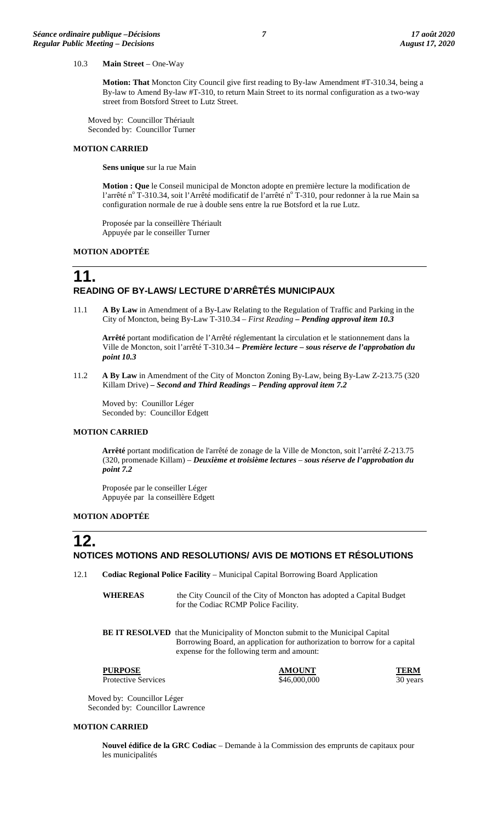### 10.3 **Main Street** – One-Way

**Motion: That** Moncton City Council give first reading to By-law Amendment #T-310.34, being a By-law to Amend By-law #T-310, to return Main Street to its normal configuration as a two-way street from Botsford Street to Lutz Street.

Moved by: Councillor Thériault Seconded by: Councillor Turner

### **MOTION CARRIED**

**Sens unique** sur la rue Main

**Motion : Que** le Conseil municipal de Moncton adopte en première lecture la modification de l'arrêté n<sup>o</sup> T-310.34, soit l'Arrêté modificatif de l'arrêté n<sup>o</sup> T-310, pour redonner à la rue Main sa configuration normale de rue à double sens entre la rue Botsford et la rue Lutz.

Proposée par la conseillère Thériault Appuyée par le conseiller Turner

#### **MOTION ADOPTÉE**

## **11. READING OF BY-LAWS/ LECTURE D'ARRÊTÉS MUNICIPAUX**

11.1 **A By Law** in Amendment of a By-Law Relating to the Regulation of Traffic and Parking in the City of Moncton, being By-Law T-310.34 – *First Reading – Pending approval item 10.3*

**Arrêté** portant modification de l'Arrêté réglementant la circulation et le stationnement dans la Ville de Moncton, soit l'arrêté T-310.34 **–** *Première lecture – sous réserve de l'approbation du point 10.3*

11.2 **A By Law** in Amendment of the City of Moncton Zoning By-Law, being By-Law Z-213.75 (320 Killam Drive) *– Second and Third Readings – Pending approval item 7.2*

Moved by: Counillor Léger Seconded by: Councillor Edgett

#### **MOTION CARRIED**

**Arrêté** portant modification de l'arrêté de zonage de la Ville de Moncton, soit l'arrêté Z-213.75 (320, promenade Killam) – *Deuxième et troisième lectures* – *sous réserve de l'approbation du point 7.2*

Proposée par le conseiller Léger Appuyée par la conseillère Edgett

### **MOTION ADOPTÉE**

### **12. NOTICES MOTIONS AND RESOLUTIONS/ AVIS DE MOTIONS ET RÉSOLUTIONS**

12.1 **Codiac Regional Police Facility** – Municipal Capital Borrowing Board Application

**WHEREAS** the City Council of the City of Moncton has adopted a Capital Budget for the Codiac RCMP Police Facility.

**BE IT RESOLVED** that the Municipality of Moncton submit to the Municipal Capital Borrowing Board, an application for authorization to borrow for a capital expense for the following term and amount:

**PURPOSE AMOUNT TERM** Protective Services  $$46,000,000$  30 years 30 years

Moved by: Councillor Léger Seconded by: Councillor Lawrence

### **MOTION CARRIED**

**Nouvel édifice de la GRC Codiac** – Demande à la Commission des emprunts de capitaux pour les municipalités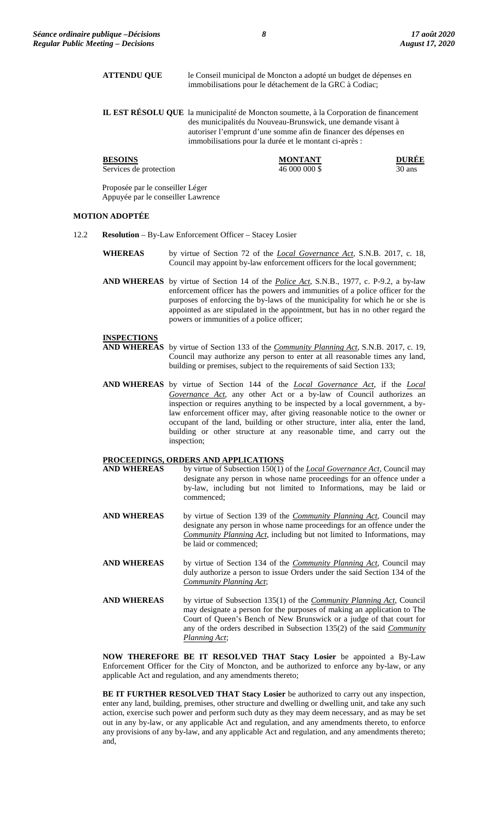|                       | <b>ATTENDU QUE</b>                                                     | le Conseil municipal de Moncton a adopté un budget de dépenses en<br>immobilisations pour le détachement de la GRC à Codiac;                                                                                                                                                         |                   |
|-----------------------|------------------------------------------------------------------------|--------------------------------------------------------------------------------------------------------------------------------------------------------------------------------------------------------------------------------------------------------------------------------------|-------------------|
|                       |                                                                        | IL EST RÉSOLU QUE la municipalité de Moncton soumette, à la Corporation de financement<br>des municipalités du Nouveau-Brunswick, une demande visant à<br>autoriser l'emprunt d'une somme afin de financer des dépenses en<br>immobilisations pour la durée et le montant ci-après : |                   |
|                       | <b>BESOINS</b><br>Services de protection                               | <b>MONTANT</b><br>46 000 000 \$                                                                                                                                                                                                                                                      | DUREE<br>$30$ ans |
|                       | Proposée par le conseiller Léger<br>Appuyée par le conseiller Lawrence |                                                                                                                                                                                                                                                                                      |                   |
| <b>MOTION ADOPTÉE</b> |                                                                        |                                                                                                                                                                                                                                                                                      |                   |
| 12.2                  | <b>Resolution</b> – By-Law Enforcement Officer – Stacey Losier         |                                                                                                                                                                                                                                                                                      |                   |

- **WHEREAS** by virtue of Section 72 of the *Local Governance Act*, S.N.B. 2017, c. 18, Council may appoint by-law enforcement officers for the local government;
- **AND WHEREAS** by virtue of Section 14 of the *Police Act*, S.N.B., 1977, c. P-9.2, a by-law enforcement officer has the powers and immunities of a police officer for the purposes of enforcing the by-laws of the municipality for which he or she is appointed as are stipulated in the appointment, but has in no other regard the powers or immunities of a police officer;

### **INSPECTIONS**

- **AND WHEREAS** by virtue of Section 133 of the *Community Planning Act*, S.N.B. 2017, c. 19, Council may authorize any person to enter at all reasonable times any land, building or premises, subject to the requirements of said Section 133;
- **AND WHEREAS** by virtue of Section 144 of the *Local Governance Act*, if the *Local Governance Act,* any other Act or a by-law of Council authorizes an inspection or requires anything to be inspected by a local government, a bylaw enforcement officer may, after giving reasonable notice to the owner or occupant of the land, building or other structure, inter alia, enter the land, building or other structure at any reasonable time, and carry out the inspection;

# **PROCEEDINGS, ORDERS AND APPLICATIONS**<br>**AND WHEREAS** by virtue of Subsection 150(1)

- by virtue of Subsection 150(1) of the *Local Governance Act*, Council may designate any person in whose name proceedings for an offence under a by-law, including but not limited to Informations, may be laid or commenced;
- **AND WHEREAS** by virtue of Section 139 of the *Community Planning Act*, Council may designate any person in whose name proceedings for an offence under the *Community Planning Act*, including but not limited to Informations, may be laid or commenced;
- **AND WHEREAS** by virtue of Section 134 of the *Community Planning Act*, Council may duly authorize a person to issue Orders under the said Section 134 of the *Community Planning Act*;
- **AND WHEREAS** by virtue of Subsection 135(1) of the *Community Planning Act*, Council may designate a person for the purposes of making an application to The Court of Queen's Bench of New Brunswick or a judge of that court for any of the orders described in Subsection 135(2) of the said *Community Planning Act*;

**NOW THEREFORE BE IT RESOLVED THAT Stacy Losier** be appointed a By-Law Enforcement Officer for the City of Moncton, and be authorized to enforce any by-law, or any applicable Act and regulation, and any amendments thereto;

**BE IT FURTHER RESOLVED THAT Stacy Losier** be authorized to carry out any inspection, enter any land, building, premises, other structure and dwelling or dwelling unit, and take any such action, exercise such power and perform such duty as they may deem necessary, and as may be set out in any by-law, or any applicable Act and regulation, and any amendments thereto, to enforce any provisions of any by-law, and any applicable Act and regulation, and any amendments thereto; and,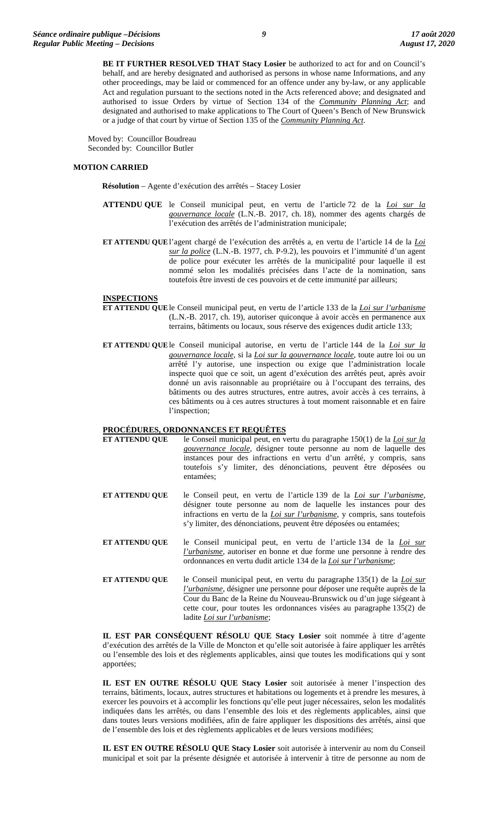**BE IT FURTHER RESOLVED THAT Stacy Losier** be authorized to act for and on Council's behalf, and are hereby designated and authorised as persons in whose name Informations, and any other proceedings, may be laid or commenced for an offence under any by-law, or any applicable Act and regulation pursuant to the sections noted in the Acts referenced above; and designated and authorised to issue Orders by virtue of Section 134 of the *Community Planning Act*; and designated and authorised to make applications to The Court of Queen's Bench of New Brunswick or a judge of that court by virtue of Section 135 of the *Community Planning Act*.

Moved by: Councillor Boudreau Seconded by: Councillor Butler

### **MOTION CARRIED**

**Résolution** – Agente d'exécution des arrêtés – Stacey Losier

- **ATTENDU QUE** le Conseil municipal peut, en vertu de l'article 72 de la *Loi sur la gouvernance locale* (L.N.-B. 2017, ch. 18), nommer des agents chargés de l'exécution des arrêtés de l'administration municipale;
- **ET ATTENDU QUE**l'agent chargé de l'exécution des arrêtés a, en vertu de l'article 14 de la *Loi sur la police* (L.N.-B. 1977, ch. P-9.2), les pouvoirs et l'immunité d'un agent de police pour exécuter les arrêtés de la municipalité pour laquelle il est nommé selon les modalités précisées dans l'acte de la nomination, sans toutefois être investi de ces pouvoirs et de cette immunité par ailleurs;

#### **INSPECTIONS**

- **ET ATTENDU QUE**le Conseil municipal peut, en vertu de l'article 133 de la *Loi sur l'urbanisme* (L.N.-B. 2017, ch. 19), autoriser quiconque à avoir accès en permanence aux terrains, bâtiments ou locaux, sous réserve des exigences dudit article 133;
- **ET ATTENDU QUE**le Conseil municipal autorise, en vertu de l'article 144 de la *Loi sur la gouvernance locale*, si la *Loi sur la gouvernance locale*, toute autre loi ou un arrêté l'y autorise, une inspection ou exige que l'administration locale inspecte quoi que ce soit, un agent d'exécution des arrêtés peut, après avoir donné un avis raisonnable au propriétaire ou à l'occupant des terrains, des bâtiments ou des autres structures, entre autres, avoir accès à ces terrains, à ces bâtiments ou à ces autres structures à tout moment raisonnable et en faire l'inspection;

# **PROCÉDURES, ORDONNANCES ET REQUÊTES**

- le Conseil municipal peut, en vertu du paragraphe 150(1) de la *Loi sur la gouvernance locale*, désigner toute personne au nom de laquelle des instances pour des infractions en vertu d'un arrêté, y compris, sans toutefois s'y limiter, des dénonciations, peuvent être déposées ou entamées;
- **ET ATTENDU QUE** le Conseil peut, en vertu de l'article 139 de la *Loi sur l'urbanisme*, désigner toute personne au nom de laquelle les instances pour des infractions en vertu de la *Loi sur l'urbanisme*, y compris, sans toutefois s'y limiter, des dénonciations, peuvent être déposées ou entamées;
- **ET ATTENDU QUE** le Conseil municipal peut, en vertu de l'article 134 de la *Loi sur l'urbanisme*, autoriser en bonne et due forme une personne à rendre des ordonnances en vertu dudit article 134 de la *Loi sur l'urbanisme*;
- **ET ATTENDU QUE** le Conseil municipal peut, en vertu du paragraphe 135(1) de la *Loi sur l'urbanisme*, désigner une personne pour déposer une requête auprès de la Cour du Banc de la Reine du Nouveau-Brunswick ou d'un juge siégeant à cette cour, pour toutes les ordonnances visées au paragraphe 135(2) de ladite *Loi sur l'urbanisme*;

**IL EST PAR CONSÉQUENT RÉSOLU QUE Stacy Losier** soit nommée à titre d'agente d'exécution des arrêtés de la Ville de Moncton et qu'elle soit autorisée à faire appliquer les arrêtés ou l'ensemble des lois et des règlements applicables, ainsi que toutes les modifications qui y sont apportées;

**IL EST EN OUTRE RÉSOLU QUE Stacy Losier** soit autorisée à mener l'inspection des terrains, bâtiments, locaux, autres structures et habitations ou logements et à prendre les mesures, à exercer les pouvoirs et à accomplir les fonctions qu'elle peut juger nécessaires, selon les modalités indiquées dans les arrêtés, ou dans l'ensemble des lois et des règlements applicables, ainsi que dans toutes leurs versions modifiées, afin de faire appliquer les dispositions des arrêtés, ainsi que de l'ensemble des lois et des règlements applicables et de leurs versions modifiées;

**IL EST EN OUTRE RÉSOLU QUE Stacy Losier** soit autorisée à intervenir au nom du Conseil municipal et soit par la présente désignée et autorisée à intervenir à titre de personne au nom de